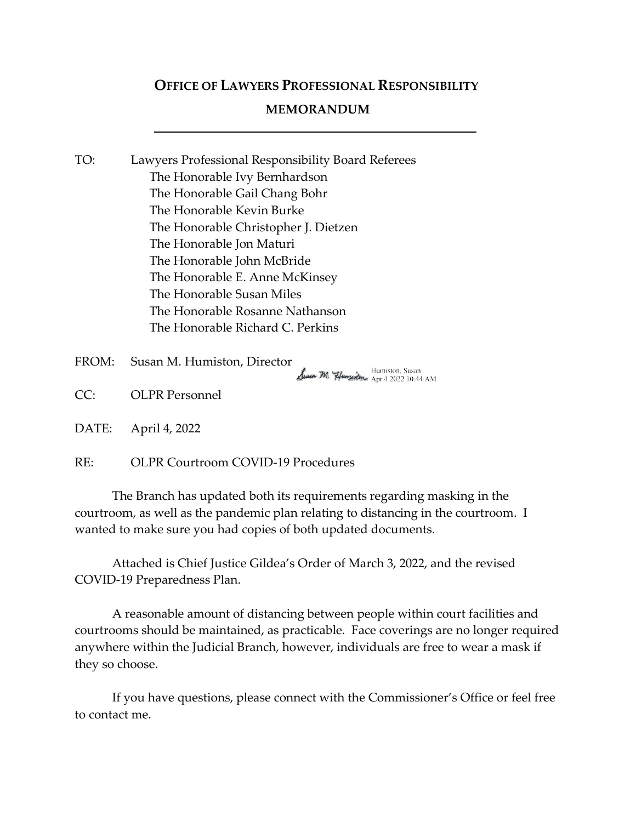# OFFICE OF LAWYERS PROFESSIONAL RESPONSIBILITY

# MEMORANDUM

- TO: Lawyers Professional Responsibility Board Referees The Honorable Ivy Bernhardson The Honorable Gail Chang Bohr The Honorable Kevin Burke The Honorable Christopher J. Dietzen The Honorable Jon Maturi The Honorable John McBride The Honorable E. Anne McKinsey The Honorable Susan Miles The Honorable Rosanne Nathanson The Honorable Richard C. Perkins
- FROM: Susan M. Humiston, Director

Humiston, Susan<br>Apr 4 2022 10:44 AM

CC: OLPR Personnel

DATE: April 4, 2022

RE: OLPR Courtroom COVID-19 Procedures

 The Branch has updated both its requirements regarding masking in the courtroom, as well as the pandemic plan relating to distancing in the courtroom. I wanted to make sure you had copies of both updated documents.

Attached is Chief Justice Gildea's Order of March 3, 2022, and the revised COVID-19 Preparedness Plan.

A reasonable amount of distancing between people within court facilities and courtrooms should be maintained, as practicable. Face coverings are no longer required anywhere within the Judicial Branch, however, individuals are free to wear a mask if they so choose.

 If you have questions, please connect with the Commissioner's Office or feel free to contact me.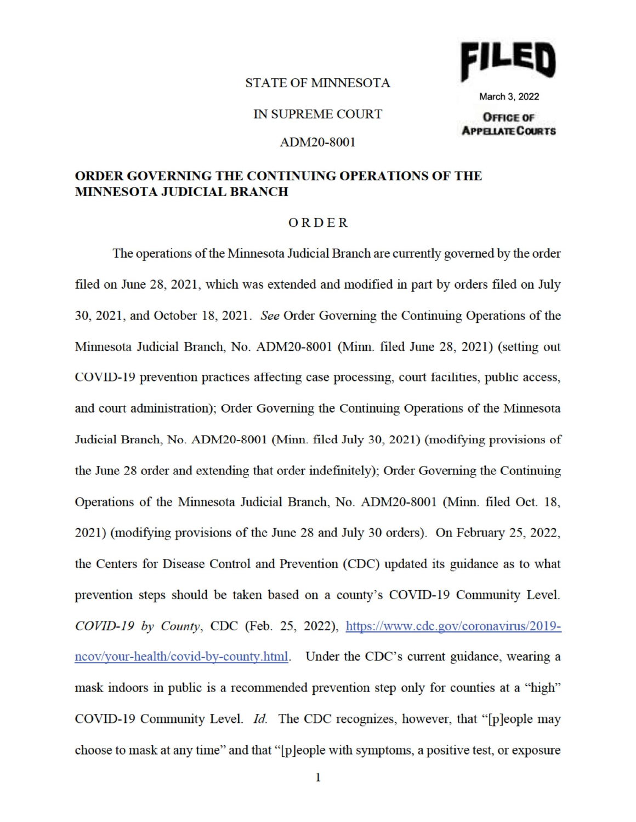#### **STATE OF MINNESOTA**



March 3, 2022

### **IN SUPREME COURT**

#### ADM20-8001

#### OFFICE OF **APPELIATE COURTS**

## **ORDER GOVERNING THE CONTINUING OPERATIONS OF THE MINNESOTA JUDICIAL BRANCH**

#### ORDER

The operations of the Minnesota Judicial Branch are currently governed by the order filed on June 28, 2021, which was extended and modified in part by orders filed on July 30, 2021, and October 18, 2021. See Order Governing the Continuing Operations of the Minnesota Judicial Branch, No. ADM20-8001 (Minn. filed June 28, 2021) (setting out COVID-19 prevention practices affecting case processing, court facilities, public access, and court administration); Order Governing the Continuing Operations of the Minnesota Judicial Branch, No. ADM20-8001 (Minn. filed July 30, 2021) (modifying provisions of the June 28 order and extending that order indefinitely); Order Governing the Continuing Operations of the Minnesota Judicial Branch, No. ADM20-8001 (Minn. filed Oct. 18, 2021) (modifying provisions of the June 28 and July 30 orders). On February 25, 2022, the Centers for Disease Control and Prevention (CDC) updated its guidance as to what prevention steps should be taken based on a county's COVID-19 Community Level. COVID-19 by County, CDC (Feb. 25, 2022), https://www.cdc.gov/coronavirus/2019ncov/your-health/covid-by-county.html. Under the CDC's current guidance, wearing a mask indoors in public is a recommended prevention step only for counties at a "high" COVID-19 Community Level. Id. The CDC recognizes, however, that "[p]eople may choose to mask at any time" and that "[p]eople with symptoms, a positive test, or exposure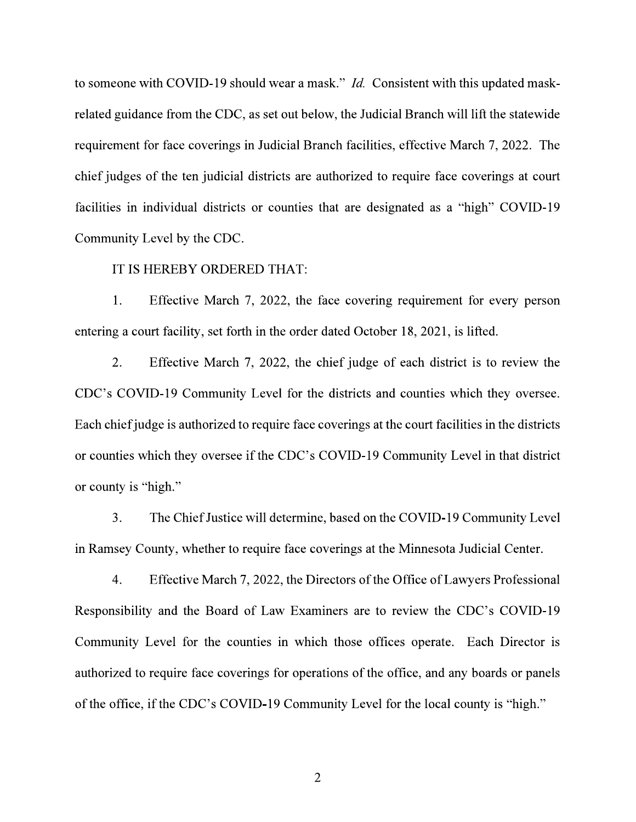to someone with COVID-19 should wear a mask." *Id.* Consistent with this updated maskrelated guidance from the CDC, as set out below, the Judicial Branch will lift the statewide requirement for face coverings in Judicial Branch facilities, effective March 7, 2022. The chief judges of the ten judicial districts are authorized to require face coverings at court facilities in individual districts or counties that are designated as a "high" COVID-19 Community Level by the CDC.

#### IT IS HEREBY ORDERED THAT:

1. Effective March 7, 2022, the face covering requirement for every person entering a court facility, set forth in the order dated October 18, 2021, is lifted.

 $\overline{2}$ . Effective March 7, 2022, the chief judge of each district is to review the CDC's COVID-19 Community Level for the districts and counties which they oversee. Each chief judge is authorized to require face coverings at the court facilities in the districts or counties which they oversee if the CDC's COVID-19 Community Level in that district or county is "high."

3. The Chief Justice will determine, based on the COVID-19 Community Level in Ramsey County, whether to require face coverings at the Minnesota Judicial Center.

 $4.$ Effective March 7, 2022, the Directors of the Office of Lawyers Professional Responsibility and the Board of Law Examiners are to review the CDC's COVID-19 Community Level for the counties in which those offices operate. Each Director is authorized to require face coverings for operations of the office, and any boards or panels of the office, if the CDC's COVID-19 Community Level for the local county is "high."

 $\overline{2}$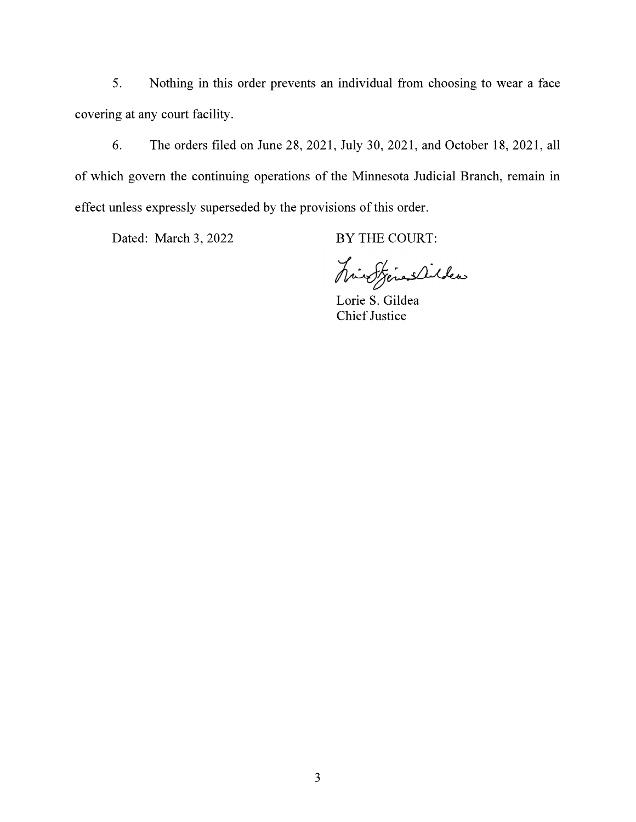Nothing in this order prevents an individual from choosing to wear a face 5. covering at any court facility.

The orders filed on June 28, 2021, July 30, 2021, and October 18, 2021, all 6. of which govern the continuing operations of the Minnesota Judicial Branch, remain in effect unless expressly superseded by the provisions of this order.

Dated: March 3, 2022

BY THE COURT:

hint finalities

Lorie S. Gildea **Chief Justice**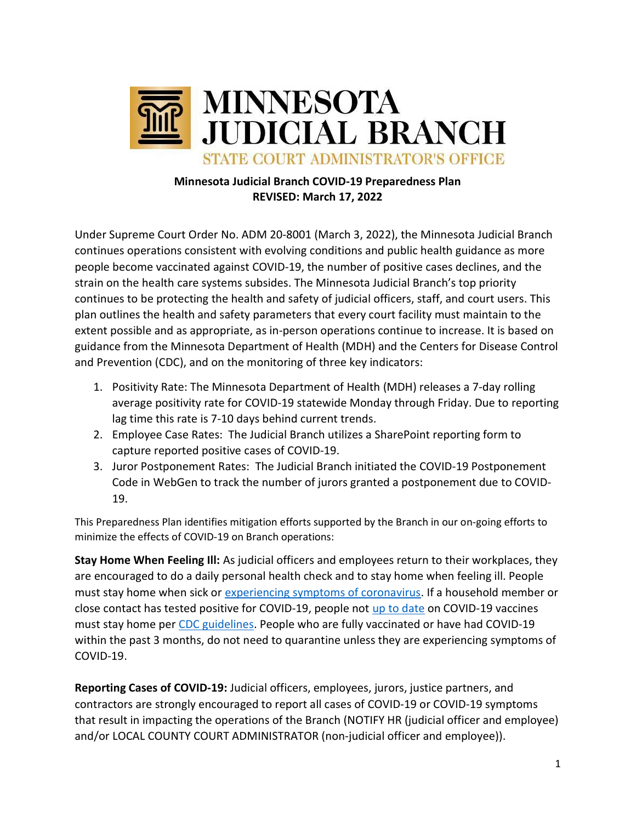

# Minnesota Judicial Branch COVID-19 Preparedness Plan REVISED: March 17, 2022

Under Supreme Court Order No. ADM 20-8001 (March 3, 2022), the Minnesota Judicial Branch continues operations consistent with evolving conditions and public health guidance as more people become vaccinated against COVID-19, the number of positive cases declines, and the strain on the health care systems subsides. The Minnesota Judicial Branch's top priority continues to be protecting the health and safety of judicial officers, staff, and court users. This plan outlines the health and safety parameters that every court facility must maintain to the extent possible and as appropriate, as in-person operations continue to increase. It is based on guidance from the Minnesota Department of Health (MDH) and the Centers for Disease Control and Prevention (CDC), and on the monitoring of three key indicators:

- 1. Positivity Rate: The Minnesota Department of Health (MDH) releases a 7-day rolling average positivity rate for COVID-19 statewide Monday through Friday. Due to reporting lag time this rate is 7-10 days behind current trends.
- 2. Employee Case Rates: The Judicial Branch utilizes a SharePoint reporting form to capture reported positive cases of COVID-19.
- 3. Juror Postponement Rates: The Judicial Branch initiated the COVID-19 Postponement Code in WebGen to track the number of jurors granted a postponement due to COVID-19.

This Preparedness Plan identifies mitigation efforts supported by the Branch in our on-going efforts to minimize the effects of COVID-19 on Branch operations:

Stay Home When Feeling Ill: As judicial officers and employees return to their workplaces, they are encouraged to do a daily personal health check and to stay home when feeling ill. People must stay home when sick or experiencing symptoms of coronavirus. If a household member or close contact has tested positive for COVID-19, people not up to date on COVID-19 vaccines must stay home per CDC guidelines. People who are fully vaccinated or have had COVID-19 within the past 3 months, do not need to quarantine unless they are experiencing symptoms of COVID-19.

Reporting Cases of COVID-19: Judicial officers, employees, jurors, justice partners, and contractors are strongly encouraged to report all cases of COVID-19 or COVID-19 symptoms that result in impacting the operations of the Branch (NOTIFY HR (judicial officer and employee) and/or LOCAL COUNTY COURT ADMINISTRATOR (non-judicial officer and employee)).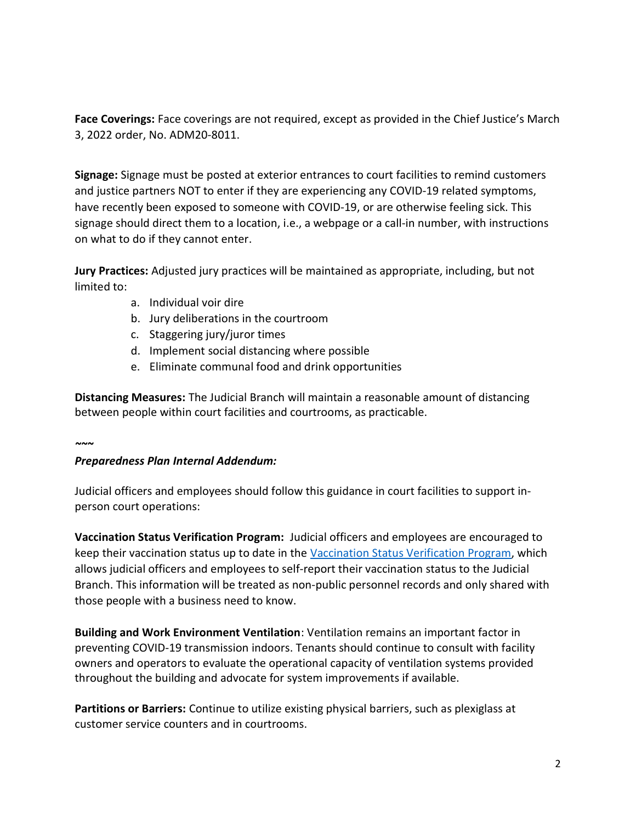Face Coverings: Face coverings are not required, except as provided in the Chief Justice's March 3, 2022 order, No. ADM20-8011.

Signage: Signage must be posted at exterior entrances to court facilities to remind customers and justice partners NOT to enter if they are experiencing any COVID-19 related symptoms, have recently been exposed to someone with COVID-19, or are otherwise feeling sick. This signage should direct them to a location, i.e., a webpage or a call-in number, with instructions on what to do if they cannot enter.

Jury Practices: Adjusted jury practices will be maintained as appropriate, including, but not limited to:

- a. Individual voir dire
- b. Jury deliberations in the courtroom
- c. Staggering jury/juror times
- d. Implement social distancing where possible
- e. Eliminate communal food and drink opportunities

Distancing Measures: The Judicial Branch will maintain a reasonable amount of distancing between people within court facilities and courtrooms, as practicable.

#### $\sim\sim$

# Preparedness Plan Internal Addendum:

Judicial officers and employees should follow this guidance in court facilities to support inperson court operations:

Vaccination Status Verification Program: Judicial officers and employees are encouraged to keep their vaccination status up to date in the Vaccination Status Verification Program, which allows judicial officers and employees to self-report their vaccination status to the Judicial Branch. This information will be treated as non-public personnel records and only shared with those people with a business need to know.

Building and Work Environment Ventilation: Ventilation remains an important factor in preventing COVID-19 transmission indoors. Tenants should continue to consult with facility owners and operators to evaluate the operational capacity of ventilation systems provided throughout the building and advocate for system improvements if available.

Partitions or Barriers: Continue to utilize existing physical barriers, such as plexiglass at customer service counters and in courtrooms.